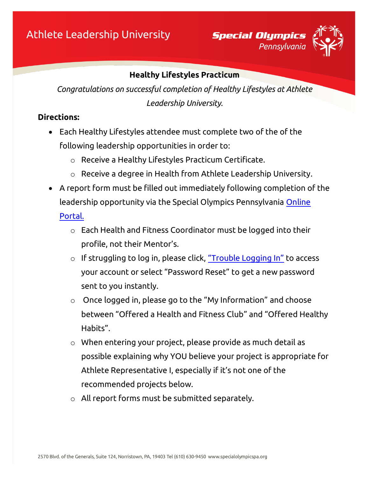

### **Healthy Lifestyles Practicum**

*Congratulations on successful completion of Healthy Lifestyles at Athlete Leadership University.*

### **Directions:**

- Each Healthy Lifestyles attendee must complete two of the of the following leadership opportunities in order to:
	- o Receive a Healthy Lifestyles Practicum Certificate.
	- o Receive a degree in Health from Athlete Leadership University.
- A report form must be filled out immediately following completion of the leadership opportunity via the Special Olympics Pennsylvania [Online](https://vsys.specialolympicspa.org/)

[Portal.](https://vsys.specialolympicspa.org/) 

- o Each Health and Fitness Coordinator must be logged into their profile, not their Mentor's.
- o If struggling to log in, please click, ["Trouble Logging In"](https://vsys.specialolympicspa.org/pages/sendmsg:7AY9IMBYO5QPMJ4F) to access your account or select "Password Reset" to get a new password sent to you instantly.
- o Once logged in, please go to the "My Information" and choose between "Offered a Health and Fitness Club" and "Offered Healthy Habits".
- o When entering your project, please provide as much detail as possible explaining why YOU believe your project is appropriate for Athlete Representative I, especially if it's not one of the recommended projects below.
- o All report forms must be submitted separately.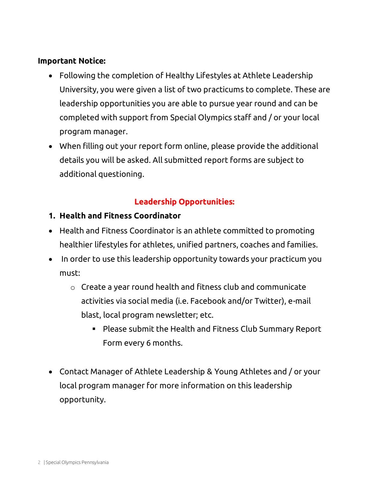### **Important Notice:**

- Following the completion of Healthy Lifestyles at Athlete Leadership University, you were given a list of two practicums to complete. These are leadership opportunities you are able to pursue year round and can be completed with support from Special Olympics staff and / or your local program manager.
- When filling out your report form online, please provide the additional details you will be asked. All submitted report forms are subject to additional questioning.

# **Leadership Opportunities:**

- **1. Health and Fitness Coordinator**
- Health and Fitness Coordinator is an athlete committed to promoting healthier lifestyles for athletes, unified partners, coaches and families.
- In order to use this leadership opportunity towards your practicum you must:
	- o Create a year round health and fitness club and communicate activities via social media (i.e. Facebook and/or Twitter), e-mail blast, local program newsletter; etc.
		- Please submit the Health and Fitness Club Summary Report Form every 6 months.
- Contact Manager of Athlete Leadership & Young Athletes and / or your local program manager for more information on this leadership opportunity.